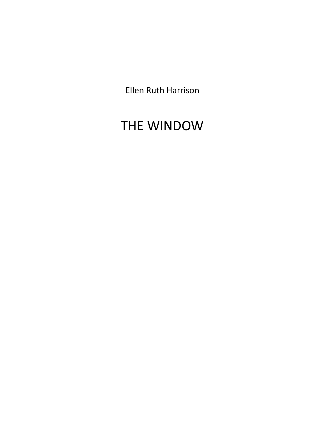Ellen Ruth Harrison

## **THE WINDOW**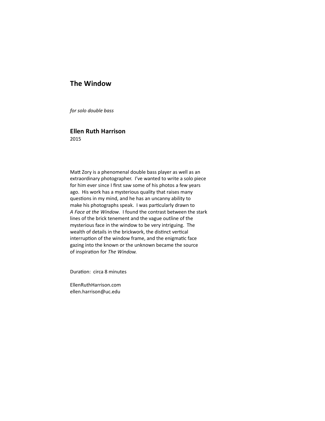## **The Window**

*for solo double bass*

## **Ellen Ruth Harrison** 2015

Matt Zory is a phenomenal double bass player as well as an extraordinary photographer. I've wanted to write a solo piece for him ever since I first saw some of his photos a few years ago. His work has a mysterious quality that raises many questions in my mind, and he has an uncanny ability to make his photographs speak. I was particularly drawn to *A Face at the Window.* I found the contrast between the stark lines of the brick tenement and the vague outline of the mysterious face in the window to be very intriguing. The wealth of details in the brickwork, the distinct vertical interruption of the window frame, and the enigmatic face gazing into the known or the unknown became the source of inspiration for The Window.

Duration: circa 8 minutes

EllenRuthHarrison.com ellen.harrison@uc.edu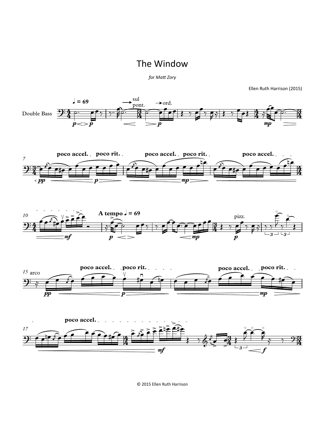## The Window

Ellen Ruth Harrison (2015)











© 2015 Ellen Ruth Harrison

for Matt Zory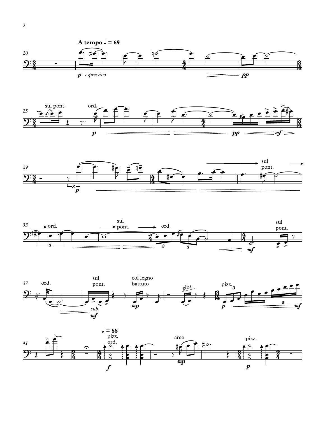









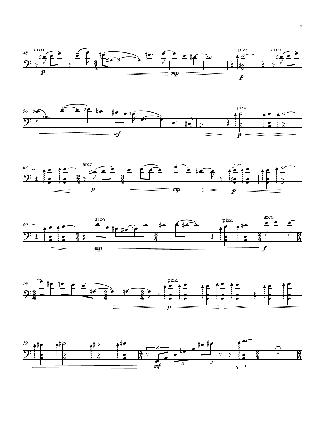









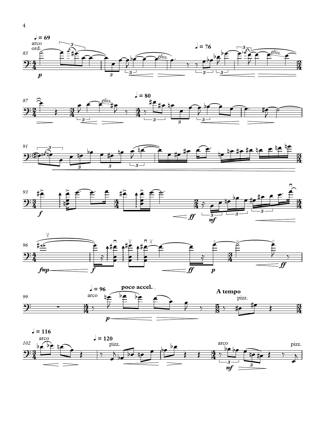